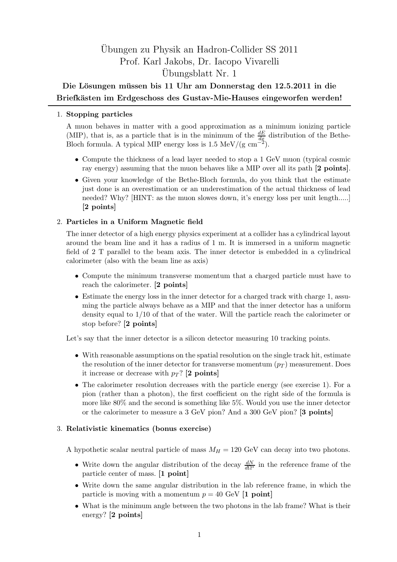# Ubungen zu Physik an Hadron-Collider SS 2011 ¨ Prof. Karl Jakobs, Dr. Iacopo Vivarelli Ubungsblatt Nr. 1 ¨

## Die Lösungen müssen bis 11 Uhr am Donnerstag den 12.5.2011 in die Briefkästen im Erdgeschoss des Gustav-Mie-Hauses eingeworfen werden!

#### 1. Stopping particles

A muon behaves in matter with a good approximation as a minimum ionizing particle (MIP), that is, as a particle that is in the minimum of the  $\frac{dE}{dx}$  distribution of the Bethe-Bloch formula. A typical MIP energy loss is 1.5 MeV/(g  $\text{cm}^{\frac{3}{2}}$ ).

- Compute the thickness of a lead layer needed to stop a 1 GeV muon (typical cosmic ray energy) assuming that the muon behaves like a MIP over all its path [2 points].
- Given your knowledge of the Bethe-Bloch formula, do you think that the estimate just done is an overestimation or an underestimation of the actual thickness of lead needed? Why? [HINT: as the muon slowes down, it's energy loss per unit length.....] [2 points]

### 2. Particles in a Uniform Magnetic field

The inner detector of a high energy physics experiment at a collider has a cylindrical layout around the beam line and it has a radius of 1 m. It is immersed in a uniform magnetic field of 2 T parallel to the beam axis. The inner detector is embedded in a cylindrical calorimeter (also with the beam line as axis)

- Compute the minimum transverse momentum that a charged particle must have to reach the calorimeter. [2 points]
- Estimate the energy loss in the inner detector for a charged track with charge 1, assuming the particle always behave as a MIP and that the inner detector has a uniform density equal to 1/10 of that of the water. Will the particle reach the calorimeter or stop before? [2 points]

Let's say that the inner detector is a silicon detector measuring 10 tracking points.

- With reasonable assumptions on the spatial resolution on the single track hit, estimate the resolution of the inner detector for transverse momentum  $(p_T)$  measurement. Does it increase or decrease with  $p_T$ ? [2 points]
- The calorimeter resolution decreases with the particle energy (see exercise 1). For a pion (rather than a photon), the first coefficient on the right side of the formula is more like 80% and the second is something like 5%. Would you use the inner detector or the calorimeter to measure a 3 GeV pion? And a 300 GeV pion? [3 points]

#### 3. Relativistic kinematics (bonus exercise)

A hypothetic scalar neutral particle of mass  $M_H = 120$  GeV can decay into two photons.

- Write down the angular distribution of the decay  $\frac{dN}{d\Omega^*}$  in the reference frame of the particle center of mass. [1 point]
- Write down the same angular distribution in the lab reference frame, in which the particle is moving with a momentum  $p = 40$  GeV [1 point]
- What is the minimum angle between the two photons in the lab frame? What is their energy? [2 points]